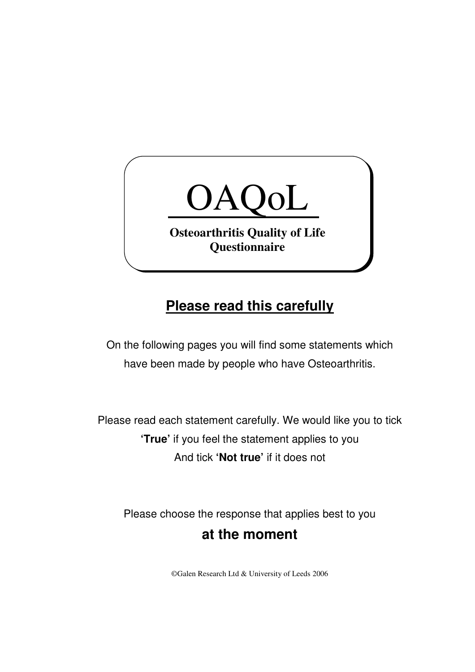

## **Please read this carefully**

On the following pages you will find some statements which have been made by people who have Osteoarthritis.

Please read each statement carefully. We would like you to tick **'True'** if you feel the statement applies to you And tick **'Not true'** if it does not

Please choose the response that applies best to you **at the moment** 

©Galen Research Ltd & University of Leeds 2006